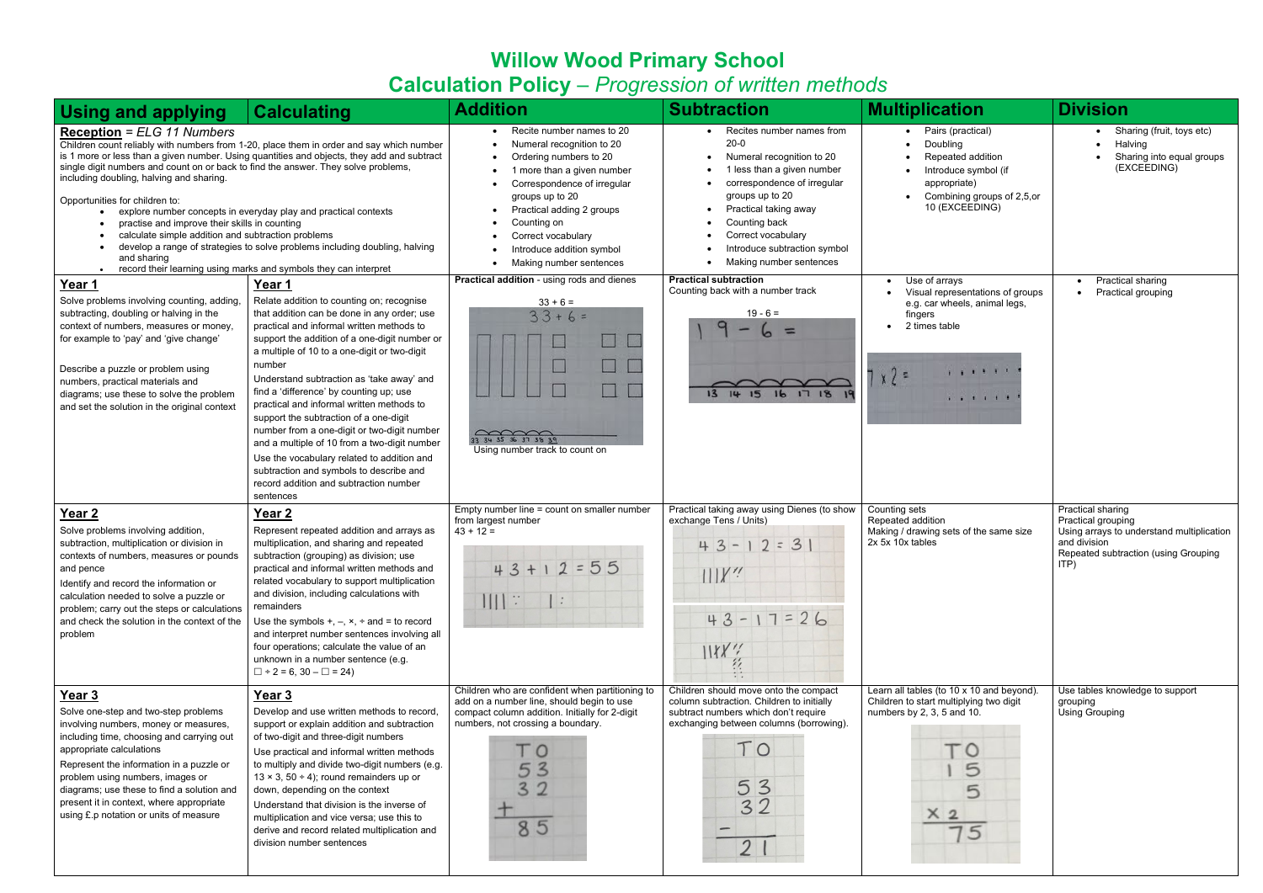## **Willow Wood Primary School Calculation Policy** – *Progression of written methods*

| <b>Using and applying</b>                                                                                                                                                                                                                                                                                                                                                            | <b>Calculating</b>                                                                                                                                                                                                                                                                                                                                                                                                                                                                                                                                                                                                                                                                       | <b>Addition</b>                                                                                                                                                                                                                                                                            | <b>Subtraction</b>                                                                                                                                                                                                                                                              | <b>Multiplication</b>                                                                                                                                | <b>Division</b>                                                                                                                                      |
|--------------------------------------------------------------------------------------------------------------------------------------------------------------------------------------------------------------------------------------------------------------------------------------------------------------------------------------------------------------------------------------|------------------------------------------------------------------------------------------------------------------------------------------------------------------------------------------------------------------------------------------------------------------------------------------------------------------------------------------------------------------------------------------------------------------------------------------------------------------------------------------------------------------------------------------------------------------------------------------------------------------------------------------------------------------------------------------|--------------------------------------------------------------------------------------------------------------------------------------------------------------------------------------------------------------------------------------------------------------------------------------------|---------------------------------------------------------------------------------------------------------------------------------------------------------------------------------------------------------------------------------------------------------------------------------|------------------------------------------------------------------------------------------------------------------------------------------------------|------------------------------------------------------------------------------------------------------------------------------------------------------|
| <b>Reception = ELG 11 Numbers</b><br>single digit numbers and count on or back to find the answer. They solve problems,<br>including doubling, halving and sharing.<br>Opportunities for children to:<br>$\bullet$<br>practise and improve their skills in counting<br>calculate simple addition and subtraction problems<br>$\bullet$<br>and sharing<br>$\bullet$                   | Children count reliably with numbers from 1-20, place them in order and say which number<br>is 1 more or less than a given number. Using quantities and objects, they add and subtract<br>explore number concepts in everyday play and practical contexts<br>develop a range of strategies to solve problems including doubling, halving<br>record their learning using marks and symbols they can interpret                                                                                                                                                                                                                                                                             | Recite number names to 20<br>Numeral recognition to 20<br>Ordering numbers to 20<br>1 more than a given number<br>Correspondence of irregular<br>groups up to 20<br>Practical adding 2 groups<br>Counting on<br>Correct vocabulary<br>Introduce addition symbol<br>Making number sentences | • Recites number names from<br>$20 - 0$<br>Numeral recognition to 20<br>1 less than a given number<br>correspondence of irregular<br>groups up to 20<br>Practical taking away<br>Counting back<br>Correct vocabulary<br>Introduce subtraction symbol<br>Making number sentences | • Pairs (practical)<br>Doubling<br>Repeated addition<br>Introduce symbol (if<br>appropriate)<br>Combining groups of 2,5,or<br>10 (EXCEEDING)         | Sharing (fruit, toys etc)<br>Halving<br>Sharing into equal groups<br>(EXCEEDING)                                                                     |
| Year 1<br>Solve problems involving counting, adding,<br>subtracting, doubling or halving in the<br>context of numbers, measures or money,<br>for example to 'pay' and 'give change'<br>Describe a puzzle or problem using<br>numbers, practical materials and<br>diagrams; use these to solve the problem<br>and set the solution in the original context                            | Year 1<br>Relate addition to counting on; recognise<br>that addition can be done in any order; use<br>practical and informal written methods to<br>support the addition of a one-digit number or<br>a multiple of 10 to a one-digit or two-digit<br>number<br>Understand subtraction as 'take away' and<br>find a 'difference' by counting up; use<br>practical and informal written methods to<br>support the subtraction of a one-digit<br>number from a one-digit or two-digit number<br>and a multiple of 10 from a two-digit number<br>Use the vocabulary related to addition and<br>subtraction and symbols to describe and<br>record addition and subtraction number<br>sentences | Practical addition - using rods and dienes<br>$33 + 6 =$<br>$33+6=$<br>$\sim$<br>33 34 35 36 37 38 39<br>Using number track to count on                                                                                                                                                    | <b>Practical subtraction</b><br>Counting back with a number track<br>$19 - 6 =$<br>a<br>$=$<br>14<br>161718                                                                                                                                                                     | Use of arrays<br>Visual representations of groups<br>e.g. car wheels, animal legs,<br>fingers<br>2 times table<br>.<br>$x^2 =$<br>.                  | <b>Practical sharing</b><br>Practical grouping                                                                                                       |
| Year <sub>2</sub><br>Solve problems involving addition,<br>subtraction, multiplication or division in<br>contexts of numbers, measures or pounds<br>and pence<br>Identify and record the information or<br>calculation needed to solve a puzzle or<br>problem; carry out the steps or calculations<br>and check the solution in the context of the<br>problem                        | Year <sub>2</sub><br>Represent repeated addition and arrays as<br>multiplication, and sharing and repeated<br>subtraction (grouping) as division; use<br>practical and informal written methods and<br>related vocabulary to support multiplication<br>and division, including calculations with<br>remainders<br>Use the symbols $+, -, x, \div$ and = to record<br>and interpret number sentences involving all<br>four operations; calculate the value of an<br>unknown in a number sentence (e.g.<br>$\Box$ ÷ 2 = 6, 30 - $\Box$ = 24)                                                                                                                                               | Empty number line = count on smaller number<br>from largest number<br>$43 + 12 =$<br>$43 + 12 = 55$                                                                                                                                                                                        | Practical taking away using Dienes (to show<br>exchange Tens / Units)<br>$43 - 12 = 3$<br>111<br>$43 - 17 = 26$<br>1155.7                                                                                                                                                       | Counting sets<br>Repeated addition<br>Making / drawing sets of the same size<br>2x 5x 10x tables                                                     | Practical sharing<br>Practical grouping<br>Using arrays to understand multiplication<br>and division<br>Repeated subtraction (using Grouping<br>ITP) |
| Year 3<br>Solve one-step and two-step problems<br>involving numbers, money or measures,<br>including time, choosing and carrying out<br>appropriate calculations<br>Represent the information in a puzzle or<br>problem using numbers, images or<br>diagrams; use these to find a solution and<br>present it in context, where appropriate<br>using £.p notation or units of measure | Year 3<br>Develop and use written methods to record,<br>support or explain addition and subtraction<br>of two-digit and three-digit numbers<br>Use practical and informal written methods<br>to multiply and divide two-digit numbers (e.g.<br>$13 \times 3$ , 50 ÷ 4); round remainders up or<br>down, depending on the context<br>Understand that division is the inverse of<br>multiplication and vice versa; use this to<br>derive and record related multiplication and<br>division number sentences                                                                                                                                                                                | Children who are confident when partitioning to<br>add on a number line, should begin to use<br>compact column addition. Initially for 2-digit<br>numbers, not crossing a boundary.<br>$^{\circ}$ O<br>$\mathbf{3}$<br>3<br>85                                                             | Children should move onto the compact<br>column subtraction. Children to initially<br>subtract numbers which don't require<br>exchanging between columns (borrowing).<br>TO<br>53<br>32<br>21                                                                                   | Learn all tables (to 10 x 10 and beyond).<br>Children to start multiplying two digit<br>numbers by 2, 3, 5 and 10.<br>ΤО<br>5<br>5<br>$rac{x_2}{75}$ | Use tables knowledge to support<br>grouping<br><b>Using Grouping</b>                                                                                 |